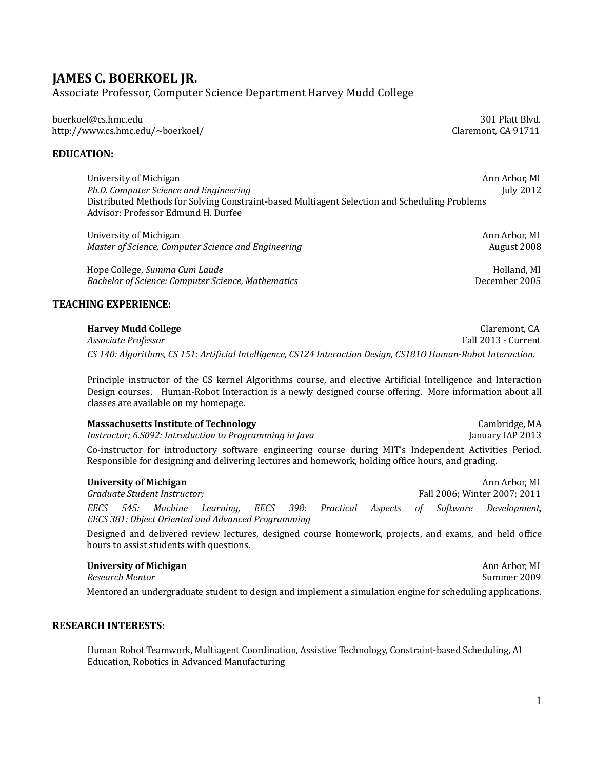# **JAMES C. BOERKOEL JR.**

Associate Professor, Computer Science Department Harvey Mudd College

boerkoel@cs.hmc.edu  $301$  Platt Blvd. http://www.cs.hmc.edu/~boerkoel/ Claremont, CA 91711

## **EDUCATION:**

University of Michigan Ann Arbor, MI *Ph.D.* Computer *Science* and *Engineering* Distributed Methods for Solving Constraint-based Multiagent Selection and Scheduling Problems Advisor: Professor Edmund H. Durfee

University of Michigan (and Engineering of Michigan and Engineering of Ann Arbor, MI<br>Master of Science, Computer Science and Engineering (and Arbor, MI) and August 2008 *Master of Science, Computer Science and Engineering* 

Hope College, *Summa Cum Laude* **and Laude** and the summa of the Holland, MI and Holland, MI and Holland, MI and Holland, MI and Holland, MI and Holland, MI and Holland, MI and Holland, MI and Holland, MI and Holland, MI a **Bachelor of Science: Computer Science, Mathematics** 

## **TEACHING EXPERIENCE:**

**Harvey Mudd College** Claremont, CA Fall 2013 - Current *CS 140: Algorithms, CS 151: Artificial Intelligence, CS124 Interaction Design, CS181O Human-Robot Interaction.*

Principle instructor of the CS kernel Algorithms course, and elective Artificial Intelligence and Interaction Design courses. Human-Robot Interaction is a newly designed course offering. More information about all classes are available on my homepage.

**Massachusetts Institute of Technology** Cambridge, MA *Instructor;* 6.S092: *Introduction to Programming in Java* Co-instructor for introductory software engineering course during MIT's Independent Activities Period. Responsible for designing and delivering lectures and homework, holding office hours, and grading.

| University of Michigan       |  |  |                                                    |  |  |  |  |                              |  | Ann Arbor, MI                                                               |
|------------------------------|--|--|----------------------------------------------------|--|--|--|--|------------------------------|--|-----------------------------------------------------------------------------|
| Graduate Student Instructor: |  |  |                                                    |  |  |  |  | Fall 2006; Winter 2007; 2011 |  |                                                                             |
| EECS                         |  |  |                                                    |  |  |  |  |                              |  | 545: Machine Learning, EECS 398: Practical Aspects of Software Development, |
|                              |  |  | EECS 381: Object Oriented and Advanced Programming |  |  |  |  |                              |  |                                                                             |

Designed and delivered review lectures, designed course homework, projects, and exams, and held office hours to assist students with questions.

**University of Michigan** Ann Arbor, MI **Research Mentor** Mentored an undergraduate student to design and implement a simulation engine for scheduling applications.

### **RESEARCH INTERESTS:**

Human Robot Teamwork, Multiagent Coordination, Assistive Technology, Constraint-based Scheduling, AI Education, Robotics in Advanced Manufacturing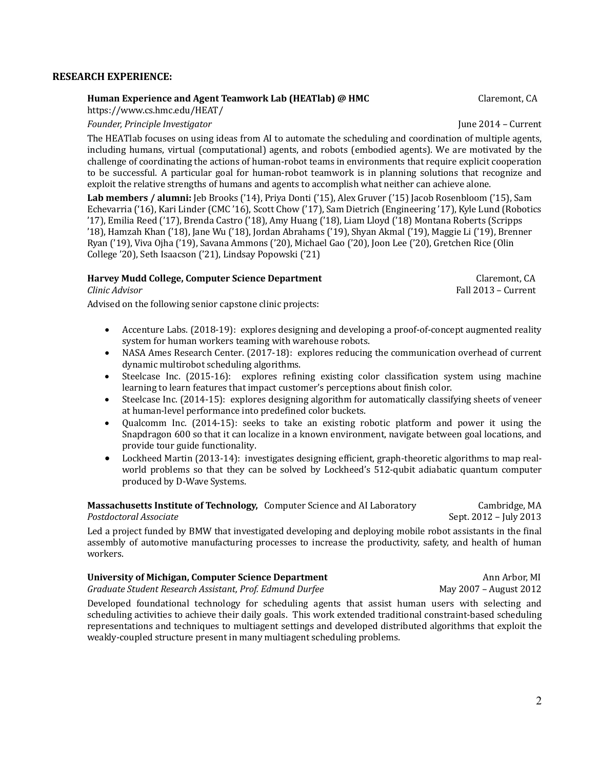## **RESEARCH EXPERIENCE:**

# **Human Experience and Agent Teamwork Lab (HEATlab) @ HMC** Claremont, CA

https://www.cs.hmc.edu/HEAT/

*Founder, Principle Investigator* June 2014 – Current

The HEATlab focuses on using ideas from AI to automate the scheduling and coordination of multiple agents, including humans, virtual (computational) agents, and robots (embodied agents). We are motivated by the challenge of coordinating the actions of human-robot teams in environments that require explicit cooperation to be successful. A particular goal for human-robot teamwork is in planning solutions that recognize and exploit the relative strengths of humans and agents to accomplish what neither can achieve alone.

Lab members / alumni: Jeb Brooks ('14), Priya Donti ('15), Alex Gruver ('15) Jacob Rosenbloom ('15), Sam Echevarria ('16), Kari Linder (CMC '16), Scott Chow ('17), Sam Dietrich (Engineering '17), Kyle Lund (Robotics '17), Emilia Reed ('17), Brenda Castro ('18), Amy Huang ('18), Liam Lloyd ('18) Montana Roberts (Scripps '18), Hamzah Khan ('18), Jane Wu ('18), Jordan Abrahams ('19), Shyan Akmal ('19), Maggie Li ('19), Brenner Ryan ('19), Viva Ojha ('19), Savana Ammons ('20), Michael Gao ('20), Joon Lee ('20), Gretchen Rice (Olin College '20), Seth Isaacson ('21), Lindsay Popowski ('21)

# **Harvey Mudd College, Computer Science Department Concernent** Claremont, CA Clinic Advisor **COLLARY** Claremont, CA Clinic Advisor

Fall 2013 – Current

Advised on the following senior capstone clinic projects:

- Accenture Labs. (2018-19): explores designing and developing a proof-of-concept augmented reality system for human workers teaming with warehouse robots.
- NASA Ames Research Center. (2017-18): explores reducing the communication overhead of current dynamic multirobot scheduling algorithms.
- Steelcase Inc. (2015-16): explores refining existing color classification system using machine learning to learn features that impact customer's perceptions about finish color.
- Steelcase Inc. (2014-15): explores designing algorithm for automatically classifying sheets of veneer at human-level performance into predefined color buckets.
- Qualcomm Inc. (2014-15): seeks to take an existing robotic platform and power it using the Snapdragon 600 so that it can localize in a known environment, navigate between goal locations, and provide tour guide functionality.
- Lockheed Martin (2013-14): investigates designing efficient, graph-theoretic algorithms to map realworld problems so that they can be solved by Lockheed's 512-qubit adiabatic quantum computer produced by D-Wave Systems.

# **Massachusetts Institute of Technology,** Computer Science and AI Laboratory **Cambridge, MA**<br>Postdoctoral Associate Sent. 2012 - July 2013

Led a project funded by BMW that investigated developing and deploying mobile robot assistants in the final assembly of automotive manufacturing processes to increase the productivity, safety, and health of human workers.

# **University of Michigan, Computer Science Department** Ann Arbor, MI

**Graduate Student Research Assistant, Prof. Edmund Durfee** 

Developed foundational technology for scheduling agents that assist human users with selecting and scheduling activities to achieve their daily goals. This work extended traditional constraint-based scheduling representations and techniques to multiagent settings and developed distributed algorithms that exploit the weakly-coupled structure present in many multiagent scheduling problems.

2

**Sept. 2012 – July 2013**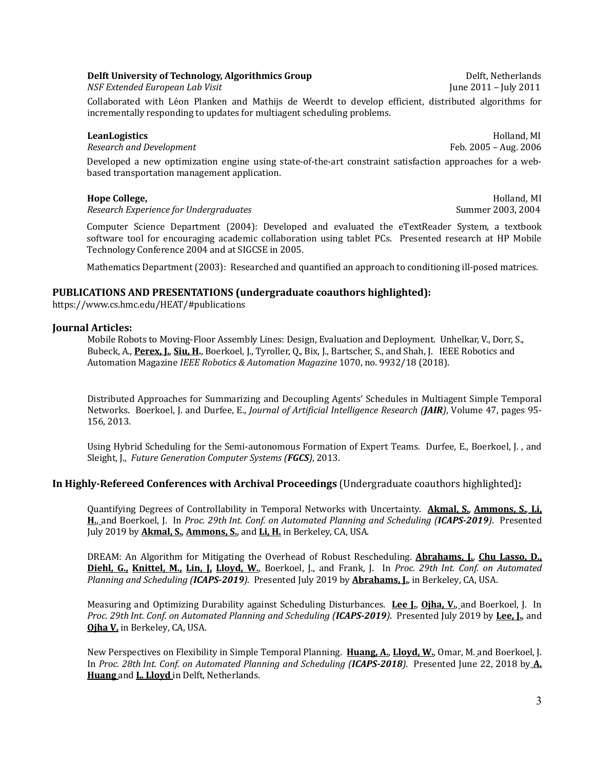# **Delft University of Technology, Algorithmics Group** Delft, Netherlands

**NSF Extended European Lab Visit** 

Collaborated with Léon Planken and Mathijs de Weerdt to develop efficient, distributed algorithms for incrementally responding to updates for multiagent scheduling problems.

# **LeanLogistics** Holland, MI

*Research and Development* Feb. 2005 – Aug. 2006

Developed a new optimization engine using state-of-the-art constraint satisfaction approaches for a webbased transportation management application.

*Research Experience for Undergraduates* Summer 2003, 2004

Computer Science Department (2004): Developed and evaluated the eTextReader System, a textbook software tool for encouraging academic collaboration using tablet PCs. Presented research at HP Mobile Technology Conference 2004 and at SIGCSE in 2005.

Mathematics Department (2003): Researched and quantified an approach to conditioning ill-posed matrices.

# **PUBLICATIONS** AND PRESENTATIONS (undergraduate coauthors highlighted):

https://www.cs.hmc.edu/HEAT/#publications

# **Journal Articles:**

Mobile Robots to Moving-Floor Assembly Lines: Design, Evaluation and Deployment. Unhelkar, V., Dorr, S., Bubeck, A., Perex, J., Siu, H., Boerkoel, J., Tyroller, O., Bix, J., Bartscher, S., and Shah, J. IEEE Robotics and Automation Magazine *IEEE Robotics & Automation Magazine* 1070, no. 9932/18 (2018).

Distributed Approaches for Summarizing and Decoupling Agents' Schedules in Multiagent Simple Temporal Networks. Boerkoel, J. and Durfee, E., *Journal of Artificial Intelligence Research (JAIR*), Volume 47, pages 95-156, 2013.

Using Hybrid Scheduling for the Semi-autonomous Formation of Expert Teams. Durfee, E., Boerkoel, J., and Sleight, J., *Future Generation Computer Systems (FGCS)*, 2013.

# **In Highly-Refereed Conferences with Archival Proceedings** (Undergraduate coauthors highlighted):

Quantifying Degrees of Controllability in Temporal Networks with Uncertainty. **Akmal, S., Ammons, S., Li, H.**, and Boerkoel, J. In *Proc. 29th Int. Conf. on Automated Planning and Scheduling (ICAPS-2019). Presented* July 2019 by **Akmal, S., Ammons, S.**, and Li, H. in Berkeley, CA, USA.

DREAM: An Algorithm for Mitigating the Overhead of Robust Rescheduling. **Abrahams, I., Chu Lasso, D., Diehl, G., Knittel, M., Lin, J. Lloyd, W.**, Boerkoel, J., and Frank, J. In Proc. 29th Int. Conf. on Automated *Planning and Scheduling (ICAPS-2019*). Presented July 2019 by **Abrahams, I.**, in Berkeley, CA, USA.

Measuring and Optimizing Durability against Scheduling Disturbances. Lee I., Ojha, V., and Boerkoel, J. In Proc. 29th Int. Conf. on Automated Planning and Scheduling (ICAPS-2019). Presented July 2019 by Lee, J., and **Ojha V.** in Berkeley, CA, USA.

New Perspectives on Flexibility in Simple Temporal Planning. Huang, A., Lloyd, W., Omar, M. and Boerkoel, J. In Proc. 28th Int. Conf. on Automated Planning and Scheduling (ICAPS-2018). Presented June 22, 2018 by A. **Huang** and **L. Lloyd** in Delft, Netherlands.

**Hope College,** *MI MI MI MI MI MI MI MI MI MI*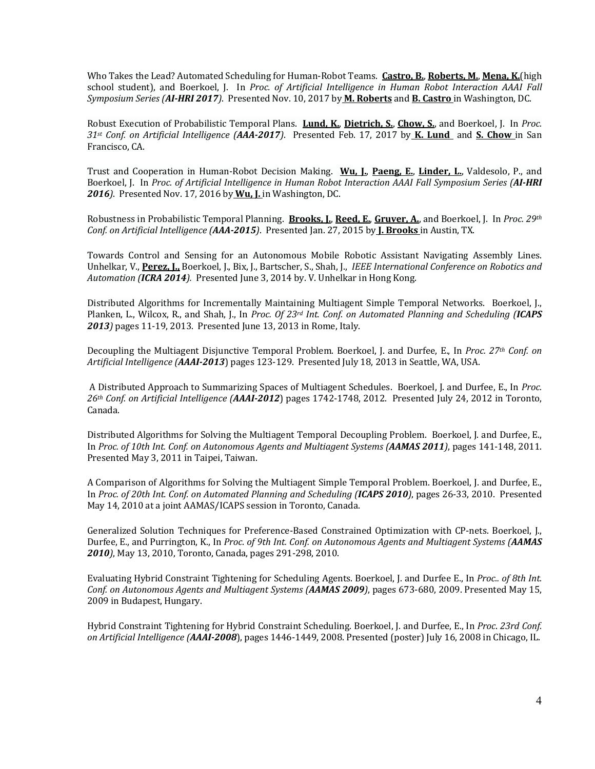Who Takes the Lead? Automated Scheduling for Human-Robot Teams. Castro, B., Roberts, M., Mena, K.(high school student), and Boerkoel, J. In *Proc. of Artificial Intelligence in Human Robot Interaction AAAI Fall Symposium Series (AI-HRI 2017*). Presented Nov. 10, 2017 by **M. Roberts** and **B. Castro** in Washington, DC.

Robust Execution of Probabilistic Temporal Plans. Lund, K., Dietrich, S., Chow, S., and Boerkoel, J. In *Proc. 31st Conf. on Artificial Intelligence (AAA-2017)*. Presented Feb. 17, 2017 by **K. Lund**  and **S. Chow**  in San Francisco, CA.

Trust and Cooperation in Human-Robot Decision Making. **Wu, J., Paeng, E., Linder, L.**, Valdesolo, P., and Boerkoel, J. In *Proc. of Artificial Intelligence in Human Robot Interaction AAAI Fall Symposium Series (AI-HRI* 2016). Presented Nov. 17, 2016 by **Wu, J.** in Washington, DC.

Robustness in Probabilistic Temporal Planning. **Brooks, L., Reed, E., Gruver, A.**, and Boerkoel, J. In *Proc. 29th Conf.* on Artificial Intelligence (*AAA-2015*). Presented Jan. 27, 2015 by **J. Brooks** in Austin, TX.

Towards Control and Sensing for an Autonomous Mobile Robotic Assistant Navigating Assembly Lines. Unhelkar, V., Perez, J., Boerkoel, J., Bix, J., Bartscher, S., Shah, J., *IEEE International Conference on Robotics and* Automation (ICRA 2014). Presented June 3, 2014 by. V. Unhelkar in Hong Kong.

Distributed Algorithms for Incrementally Maintaining Multiagent Simple Temporal Networks. Boerkoel, J., Planken, L., Wilcox, R., and Shah, J., In *Proc. Of 23<sup>rd</sup> Int. Conf. on Automated Planning and Scheduling (ICAPS* 2013) pages 11-19, 2013. Presented June 13, 2013 in Rome, Italy.

Decoupling the Multiagent Disjunctive Temporal Problem. Boerkoel, J. and Durfee, E., In *Proc. 27th Conf. on* Artificial Intelligence (**AAAI-2013**) pages 123-129. Presented July 18, 2013 in Seattle, WA, USA.

A Distributed Approach to Summarizing Spaces of Multiagent Schedules. Boerkoel, J. and Durfee, E., In *Proc.* 26<sup>th</sup> Conf. on Artificial Intelligence (**AAAI-2012**) pages 1742-1748, 2012. Presented July 24, 2012 in Toronto, Canada.

Distributed Algorithms for Solving the Multiagent Temporal Decoupling Problem. Boerkoel, J. and Durfee, E., In *Proc.* of 10th Int. Conf. on Autonomous Agents and Multiagent Systems (**AAMAS 2011**), pages 141-148, 2011. Presented May 3, 2011 in Taipei, Taiwan.

A Comparison of Algorithms for Solving the Multiagent Simple Temporal Problem. Boerkoel, J. and Durfee, E., In *Proc.* of 20th Int. Conf. on Automated Planning and Scheduling (**ICAPS 2010**), pages 26-33, 2010. Presented May 14, 2010 at a joint AAMAS/ICAPS session in Toronto, Canada.

Generalized Solution Techniques for Preference-Based Constrained Optimization with CP-nets. Boerkoel, [., Durfee, E., and Purrington, K., In *Proc. of 9th Int. Conf. on Autonomous Agents and Multiagent Systems (AAMAS* **2010**), May 13, 2010, Toronto, Canada, pages 291-298, 2010.

Evaluating Hybrid Constraint Tightening for Scheduling Agents. Boerkoel, J. and Durfee E., In *Proc.. of 8th Int. Conf.* on Autonomous Agents and Multiagent Systems (**AAMAS 2009**), pages 673-680, 2009. Presented May 15, 2009 in Budapest, Hungary.

Hybrid Constraint Tightening for Hybrid Constraint Scheduling. Boerkoel, J. and Durfee, E., In *Proc. 23rd Conf. on* Artificial Intelligence (**AAAI-2008**), pages 1446-1449, 2008. Presented (poster) July 16, 2008 in Chicago, IL.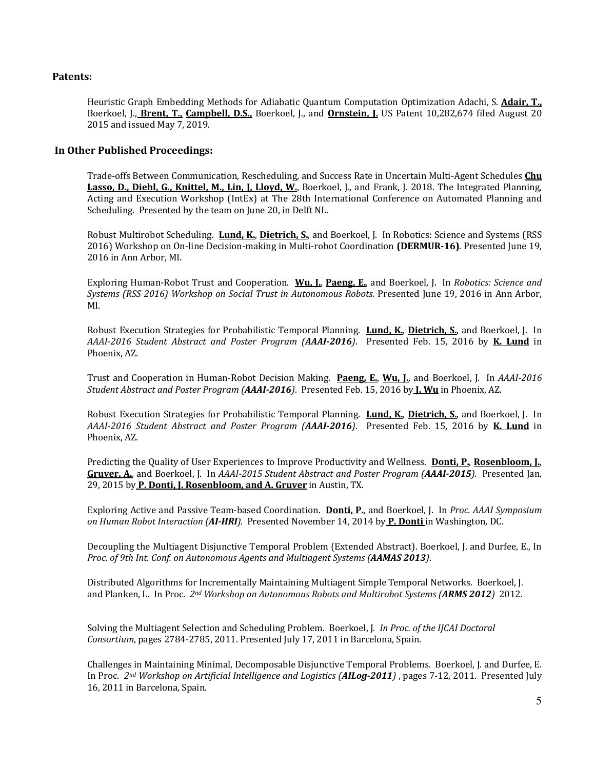### **Patents:**

Heuristic Graph Embedding Methods for Adiabatic Quantum Computation Optimization Adachi, S. *Adair, T.*, Boerkoel, J., Brent, T., Campbell, D.S., Boerkoel, J., and Ornstein, J. US Patent 10,282,674 filed August 20 2015 and issued May 7, 2019.

#### **In Other Published Proceedings:**

Trade-offs Between Communication, Rescheduling, and Success Rate in Uncertain Multi-Agent Schedules **Chu Lasso, D., Diehl, G., Knittel, M., Lin, J. Lloyd, W.**, Boerkoel, J., and Frank, J. 2018. The Integrated Planning, Acting and Execution Workshop (IntEx) at The 28th International Conference on Automated Planning and Scheduling. Presented by the team on June 20, in Delft NL.

Robust Multirobot Scheduling. Lund, K., Dietrich, S., and Boerkoel, J. In Robotics: Science and Systems (RSS 2016) Workshop on On-line Decision-making in Multi-robot Coordination (DERMUR-16). Presented June 19, 2016 in Ann Arbor, MI.

Exploring Human-Robot Trust and Cooperation. Wu, L. Paeng, E., and Boerkoel, J. In *Robotics: Science and* Systems (RSS 2016) Workshop on Social Trust in Autonomous Robots. Presented June 19, 2016 in Ann Arbor, MI.

Robust Execution Strategies for Probabilistic Temporal Planning. Lund, K., Dietrich, S., and Boerkoel, J. In *AAAI-2016 Student Abstract and Poster Program (AAAI-2016)*. Presented Feb. 15, 2016 by **K. Lund** in Phoenix, AZ.

Trust and Cooperation in Human-Robot Decision Making. **Paeng, E., Wu, J.**, and Boerkoel, J. In AAAI-2016 *Student Abstract and Poster Program (AAAI-2016).* Presented Feb. 15, 2016 by *J. Wu* in Phoenix, AZ.

Robust Execution Strategies for Probabilistic Temporal Planning. Lund, K., Dietrich, S., and Boerkoel, J. In *AAAI-2016 Student Abstract and Poster Program (AAAI-2016)*. Presented Feb. 15, 2016 by **K. Lund** in Phoenix, AZ.

Predicting the Quality of User Experiences to Improve Productivity and Wellness. **Donti, P., Rosenbloom, J.**, Gruver, A., and Boerkoel, J. In *AAAI-2015* Student *Abstract and Poster Program (AAAI-2015*). Presented Jan. 29, 2015 by P. Donti, J. Rosenbloom, and A. Gruver in Austin, TX.

Exploring Active and Passive Team-based Coordination. **Donti, P.**, and Boerkoel, J. In *Proc. AAAI Symposium on* Human Robot Interaction (AI-HRI). Presented November 14, 2014 by **P. Donti** in Washington, DC.

Decoupling the Multiagent Disjunctive Temporal Problem (Extended Abstract). Boerkoel, J. and Durfee, E., In *Proc. of 9th Int. Conf. on Autonomous Agents and Multiagent Systems (AAMAS 2013)*.

Distributed Algorithms for Incrementally Maintaining Multiagent Simple Temporal Networks. Boerkoel, J. and Planken, L. In Proc. 2<sup>nd</sup> Workshop on Autonomous Robots and Multirobot Systems (ARMS 2012) 2012.

Solving the Multiagent Selection and Scheduling Problem. Boerkoel, J. In Proc. of the IJCAI Doctoral *Consortium*, pages 2784-2785, 2011. Presented July 17, 2011 in Barcelona, Spain.

Challenges in Maintaining Minimal, Decomposable Disjunctive Temporal Problems. Boerkoel, J. and Durfee, E. In Proc. 2<sup>nd</sup> Workshop on Artificial Intelligence and Logistics (**AILog-2011**), pages 7-12, 2011. Presented July 16, 2011 in Barcelona, Spain.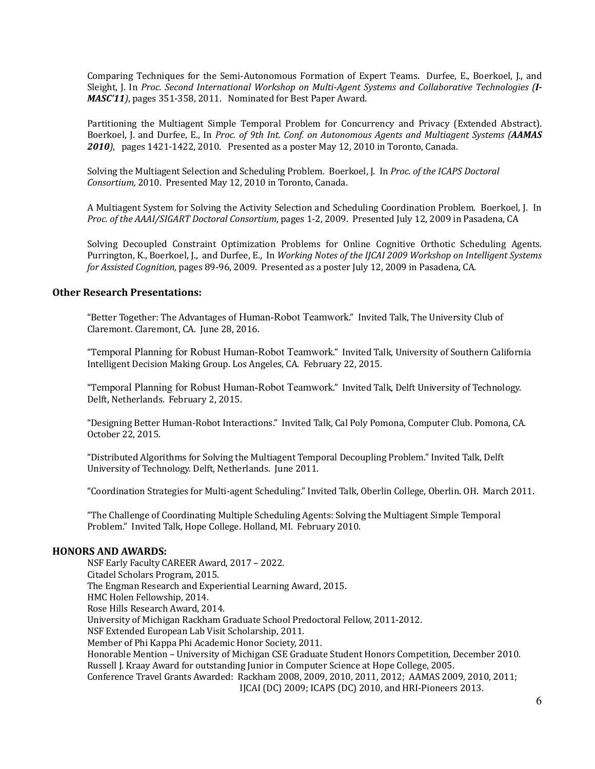Comparing Techniques for the Semi-Autonomous Formation of Expert Teams. Durfee, E., Boerkoel, J., and Sleight. I. In Proc. Second International Workshop on Multi-Agent Systems and Collaborative Technologies (*I-MASC'11*), pages 351-358, 2011. Nominated for Best Paper Award.

Partitioning the Multiagent Simple Temporal Problem for Concurrency and Privacy (Extended Abstract). Boerkoel, J. and Durfee, E., In *Proc. of 9th Int. Conf. on Autonomous Agents and Multiagent Systems (AAMAS* **2010***)*, pages 1421-1422, 2010. Presented as a poster May 12, 2010 in Toronto, Canada.

Solving the Multiagent Selection and Scheduling Problem. Boerkoel, J. In *Proc. of the ICAPS Doctoral* Consortium, 2010. Presented May 12, 2010 in Toronto, Canada.

A Multiagent System for Solving the Activity Selection and Scheduling Coordination Problem. Boerkoel, J. In Proc. of the AAAI/SIGART Doctoral Consortium, pages 1-2, 2009. Presented July 12, 2009 in Pasadena, CA

Solving Decoupled Constraint Optimization Problems for Online Cognitive Orthotic Scheduling Agents. Purrington, K., Boerkoel, J., and Durfee, E., In Working Notes of the IJCAI 2009 Workshop on Intelligent Systems *for Assisted Cognition, pages 89-96, 2009. Presented as a poster July 12, 2009 in Pasadena, CA.* 

#### **Other Research Presentations:**

"Better Together: The Advantages of Human-Robot Teamwork." Invited Talk, The University Club of Claremont. Claremont, CA. June 28, 2016.

"Temporal Planning for Robust Human-Robot Teamwork." Invited Talk, University of Southern California Intelligent Decision Making Group. Los Angeles, CA. February 22, 2015.

"Temporal Planning for Robust Human-Robot Teamwork." Invited Talk, Delft University of Technology. Delft, Netherlands. February 2, 2015.

"Designing Better Human-Robot Interactions." Invited Talk, Cal Poly Pomona, Computer Club. Pomona, CA. October 22, 2015.

"Distributed Algorithms for Solving the Multiagent Temporal Decoupling Problem." Invited Talk, Delft University of Technology. Delft, Netherlands. June 2011.

"Coordination Strategies for Multi-agent Scheduling." Invited Talk, Oberlin College, Oberlin. OH. March 2011.

"The Challenge of Coordinating Multiple Scheduling Agents: Solving the Multiagent Simple Temporal Problem." Invited Talk, Hope College. Holland, MI. February 2010.

#### **HONORS AND AWARDS:**

NSF Early Faculty CAREER Award, 2017 - 2022. Citadel Scholars Program, 2015. The Engman Research and Experiential Learning Award, 2015. HMC Holen Fellowship, 2014. Rose Hills Research Award, 2014. University of Michigan Rackham Graduate School Predoctoral Fellow, 2011-2012. NSF Extended European Lab Visit Scholarship, 2011. Member of Phi Kappa Phi Academic Honor Society, 2011. Honorable Mention - University of Michigan CSE Graduate Student Honors Competition, December 2010. Russell J. Kraay Award for outstanding Junior in Computer Science at Hope College, 2005. Conference Travel Grants Awarded: Rackham 2008, 2009, 2010, 2011, 2012; AAMAS 2009, 2010, 2011; IJCAI (DC) 2009; ICAPS (DC) 2010, and HRI-Pioneers 2013.